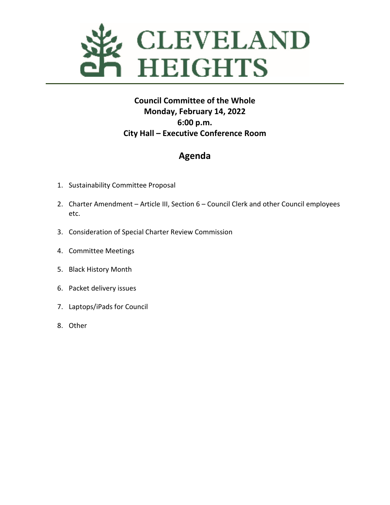

### **Council Committee of the Whole Monday, February 14, 2022 6:00 p.m. City Hall – Executive Conference Room**

## **Agenda**

- 1. Sustainability Committee Proposal
- 2. Charter Amendment Article III, Section 6 Council Clerk and other Council employees etc.
- 3. Consideration of Special Charter Review Commission
- 4. Committee Meetings
- 5. Black History Month
- 6. Packet delivery issues
- 7. Laptops/iPads for Council
- 8. Other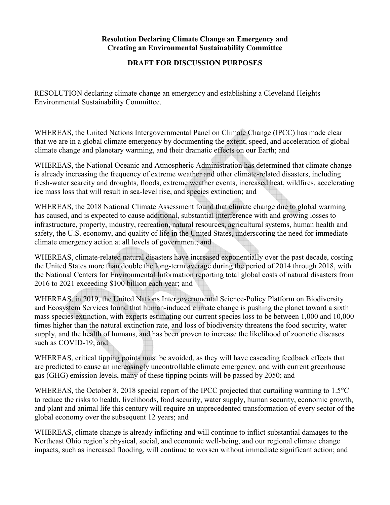#### **Resolution Declaring Climate Change an Emergency and Creating an Environmental Sustainability Committee**

#### **DRAFT FOR DISCUSSION PURPOSES**

RESOLUTION declaring climate change an emergency and establishing a Cleveland Heights Environmental Sustainability Committee.

WHEREAS, the United Nations Intergovernmental Panel on Climate Change (IPCC) has made clear that we are in a global climate emergency by documenting the extent, speed, and acceleration of global climate change and planetary warming, and their dramatic effects on our Earth; and

WHEREAS, the National Oceanic and Atmospheric Administration has determined that climate change is already increasing the frequency of extreme weather and other climate-related disasters, including fresh-water scarcity and droughts, floods, extreme weather events, increased heat, wildfires, accelerating ice mass loss that will result in sea-level rise, and species extinction; and

WHEREAS, the 2018 National Climate Assessment found that climate change due to global warming has caused, and is expected to cause additional, substantial interference with and growing losses to infrastructure, property, industry, recreation, natural resources, agricultural systems, human health and safety, the U.S. economy, and quality of life in the United States, underscoring the need for immediate climate emergency action at all levels of government; and

WHEREAS, climate-related natural disasters have increased exponentially over the past decade, costing the United States more than double the long-term average during the period of 2014 through 2018, with the National Centers for Environmental Information reporting total global costs of natural disasters from 2016 to 2021 exceeding \$100 billion each year; and

WHEREAS, in 2019, the United Nations Intergovernmental Science-Policy Platform on Biodiversity and Ecosystem Services found that human-induced climate change is pushing the planet toward a sixth mass species extinction, with experts estimating our current species loss to be between 1,000 and 10,000 times higher than the natural extinction rate, and loss of biodiversity threatens the food security, water supply, and the health of humans, and has been proven to increase the likelihood of zoonotic diseases such as COVID-19; and

WHEREAS, critical tipping points must be avoided, as they will have cascading feedback effects that are predicted to cause an increasingly uncontrollable climate emergency, and with current greenhouse gas (GHG) emission levels, many of these tipping points will be passed by 2050; and

WHEREAS, the October 8, 2018 special report of the IPCC projected that curtailing warming to 1.5°C to reduce the risks to health, livelihoods, food security, water supply, human security, economic growth, and plant and animal life this century will require an unprecedented transformation of every sector of the global economy over the subsequent 12 years; and

WHEREAS, climate change is already inflicting and will continue to inflict substantial damages to the Northeast Ohio region's physical, social, and economic well-being, and our regional climate change impacts, such as increased flooding, will continue to worsen without immediate significant action; and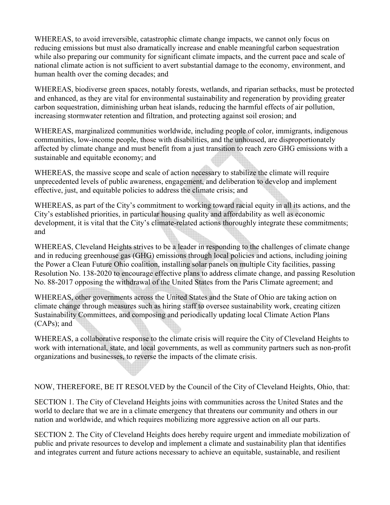WHEREAS, to avoid irreversible, catastrophic climate change impacts, we cannot only focus on reducing emissions but must also dramatically increase and enable meaningful carbon sequestration while also preparing our community for significant climate impacts, and the current pace and scale of national climate action is not sufficient to avert substantial damage to the economy, environment, and human health over the coming decades; and

WHEREAS, biodiverse green spaces, notably forests, wetlands, and riparian setbacks, must be protected and enhanced, as they are vital for environmental sustainability and regeneration by providing greater carbon sequestration, diminishing urban heat islands, reducing the harmful effects of air pollution, increasing stormwater retention and filtration, and protecting against soil erosion; and

WHEREAS, marginalized communities worldwide, including people of color, immigrants, indigenous communities, low-income people, those with disabilities, and the unhoused, are disproportionately affected by climate change and must benefit from a just transition to reach zero GHG emissions with a sustainable and equitable economy; and

WHEREAS, the massive scope and scale of action necessary to stabilize the climate will require unprecedented levels of public awareness, engagement, and deliberation to develop and implement effective, just, and equitable policies to address the climate crisis; and

WHEREAS, as part of the City's commitment to working toward racial equity in all its actions, and the City's established priorities, in particular housing quality and affordability as well as economic development, it is vital that the City's climate-related actions thoroughly integrate these commitments; and

WHEREAS, Cleveland Heights strives to be a leader in responding to the challenges of climate change and in reducing greenhouse gas (GHG) emissions through local policies and actions, including joining the Power a Clean Future Ohio coalition, installing solar panels on multiple City facilities, passing Resolution No. 138-2020 to encourage effective plans to address climate change, and passing Resolution No. 88-2017 opposing the withdrawal of the United States from the Paris Climate agreement; and

WHEREAS, other governments across the United States and the State of Ohio are taking action on climate change through measures such as hiring staff to oversee sustainability work, creating citizen Sustainability Committees, and composing and periodically updating local Climate Action Plans (CAPs); and

WHEREAS, a collaborative response to the climate crisis will require the City of Cleveland Heights to work with international, state, and local governments, as well as community partners such as non-profit organizations and businesses, to reverse the impacts of the climate crisis.

NOW, THEREFORE, BE IT RESOLVED by the Council of the City of Cleveland Heights, Ohio, that:

SECTION 1. The City of Cleveland Heights joins with communities across the United States and the world to declare that we are in a climate emergency that threatens our community and others in our nation and worldwide, and which requires mobilizing more aggressive action on all our parts.

SECTION 2. The City of Cleveland Heights does hereby require urgent and immediate mobilization of public and private resources to develop and implement a climate and sustainability plan that identifies and integrates current and future actions necessary to achieve an equitable, sustainable, and resilient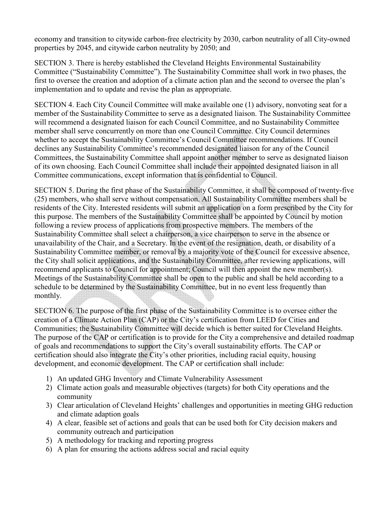economy and transition to citywide carbon-free electricity by 2030, carbon neutrality of all City-owned properties by 2045, and citywide carbon neutrality by 2050; and

SECTION 3. There is hereby established the Cleveland Heights Environmental Sustainability Committee ("Sustainability Committee"). The Sustainability Committee shall work in two phases, the first to oversee the creation and adoption of a climate action plan and the second to oversee the plan's implementation and to update and revise the plan as appropriate.

SECTION 4. Each City Council Committee will make available one (1) advisory, nonvoting seat for a member of the Sustainability Committee to serve as a designated liaison. The Sustainability Committee will recommend a designated liaison for each Council Committee, and no Sustainability Committee member shall serve concurrently on more than one Council Committee. City Council determines whether to accept the Sustainability Committee's Council Committee recommendations. If Council declines any Sustainability Committee's recommended designated liaison for any of the Council Committees, the Sustainability Committee shall appoint another member to serve as designated liaison of its own choosing. Each Council Committee shall include their appointed designated liaison in all Committee communications, except information that is confidential to Council.

SECTION 5. During the first phase of the Sustainability Committee, it shall be composed of twenty-five (25) members, who shall serve without compensation. All Sustainability Committee members shall be residents of the City. Interested residents will submit an application on a form prescribed by the City for this purpose. The members of the Sustainability Committee shall be appointed by Council by motion following a review process of applications from prospective members. The members of the Sustainability Committee shall select a chairperson, a vice chairperson to serve in the absence or unavailability of the Chair, and a Secretary. In the event of the resignation, death, or disability of a Sustainability Committee member, or removal by a majority vote of the Council for excessive absence, the City shall solicit applications, and the Sustainability Committee, after reviewing applications, will recommend applicants to Council for appointment; Council will then appoint the new member(s). Meetings of the Sustainability Committee shall be open to the public and shall be held according to a schedule to be determined by the Sustainability Committee, but in no event less frequently than monthly.

SECTION 6. The purpose of the first phase of the Sustainability Committee is to oversee either the creation of a Climate Action Plan (CAP) or the City's certification from LEED for Cities and Communities; the Sustainability Committee will decide which is better suited for Cleveland Heights. The purpose of the CAP or certification is to provide for the City a comprehensive and detailed roadmap of goals and recommendations to support the City's overall sustainability efforts. The CAP or certification should also integrate the City's other priorities, including racial equity, housing development, and economic development. The CAP or certification shall include:

- 1) An updated GHG Inventory and Climate Vulnerability Assessment
- 2) Climate action goals and measurable objectives (targets) for both City operations and the community
- 3) Clear articulation of Cleveland Heights' challenges and opportunities in meeting GHG reduction and climate adaption goals
- 4) A clear, feasible set of actions and goals that can be used both for City decision makers and community outreach and participation
- 5) A methodology for tracking and reporting progress
- 6) A plan for ensuring the actions address social and racial equity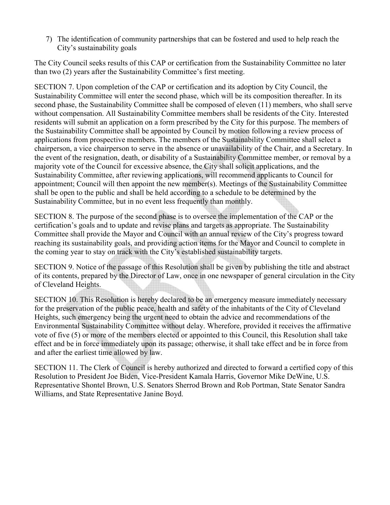7) The identification of community partnerships that can be fostered and used to help reach the City's sustainability goals

The City Council seeks results of this CAP or certification from the Sustainability Committee no later than two (2) years after the Sustainability Committee's first meeting.

SECTION 7. Upon completion of the CAP or certification and its adoption by City Council, the Sustainability Committee will enter the second phase, which will be its composition thereafter. In its second phase, the Sustainability Committee shall be composed of eleven (11) members, who shall serve without compensation. All Sustainability Committee members shall be residents of the City. Interested residents will submit an application on a form prescribed by the City for this purpose. The members of the Sustainability Committee shall be appointed by Council by motion following a review process of applications from prospective members. The members of the Sustainability Committee shall select a chairperson, a vice chairperson to serve in the absence or unavailability of the Chair, and a Secretary. In the event of the resignation, death, or disability of a Sustainability Committee member, or removal by a majority vote of the Council for excessive absence, the City shall solicit applications, and the Sustainability Committee, after reviewing applications, will recommend applicants to Council for appointment; Council will then appoint the new member(s). Meetings of the Sustainability Committee shall be open to the public and shall be held according to a schedule to be determined by the Sustainability Committee, but in no event less frequently than monthly.

SECTION 8. The purpose of the second phase is to oversee the implementation of the CAP or the certification's goals and to update and revise plans and targets as appropriate. The Sustainability Committee shall provide the Mayor and Council with an annual review of the City's progress toward reaching its sustainability goals, and providing action items for the Mayor and Council to complete in the coming year to stay on track with the City's established sustainability targets.

SECTION 9. Notice of the passage of this Resolution shall be given by publishing the title and abstract of its contents, prepared by the Director of Law, once in one newspaper of general circulation in the City of Cleveland Heights.

SECTION 10. This Resolution is hereby declared to be an emergency measure immediately necessary for the preservation of the public peace, health and safety of the inhabitants of the City of Cleveland Heights, such emergency being the urgent need to obtain the advice and recommendations of the Environmental Sustainability Committee without delay. Wherefore, provided it receives the affirmative vote of five (5) or more of the members elected or appointed to this Council, this Resolution shall take effect and be in force immediately upon its passage; otherwise, it shall take effect and be in force from and after the earliest time allowed by law.

SECTION 11. The Clerk of Council is hereby authorized and directed to forward a certified copy of this Resolution to President Joe Biden, Vice-President Kamala Harris, Governor Mike DeWine, U.S. Representative Shontel Brown, U.S. Senators Sherrod Brown and Rob Portman, State Senator Sandra Williams, and State Representative Janine Boyd.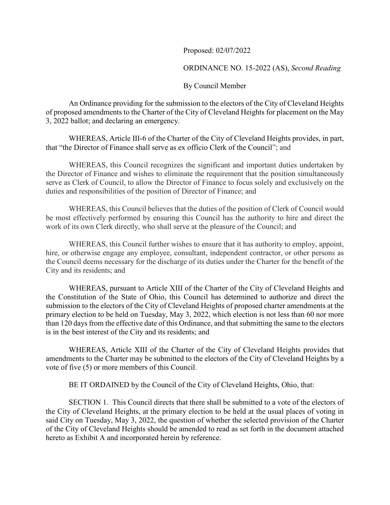Proposed: 02/07/2022

ORDINANCE NO. 15-2022 (AS), *Second Reading* 

#### By Council Member

An Ordinance providing for the submission to the electors of the City of Cleveland Heights of proposed amendments to the Charter of the City of Cleveland Heights for placement on the May 3, 2022 ballot; and declaring an emergency.

WHEREAS, Article III-6 of the Charter of the City of Cleveland Heights provides, in part, that "the Director of Finance shall serve as ex officio Clerk of the Council"; and

 WHEREAS, this Council recognizes the significant and important duties undertaken by the Director of Finance and wishes to eliminate the requirement that the position simultaneously serve as Clerk of Council, to allow the Director of Finance to focus solely and exclusively on the duties and responsibilities of the position of Director of Finance; and

 WHEREAS, this Council believes that the duties of the position of Clerk of Council would be most effectively performed by ensuring this Council has the authority to hire and direct the work of its own Clerk directly, who shall serve at the pleasure of the Council; and

 WHEREAS, this Council further wishes to ensure that it has authority to employ, appoint, hire, or otherwise engage any employee, consultant, independent contractor, or other persons as the Council deems necessary for the discharge of its duties under the Charter for the benefit of the City and its residents; and

WHEREAS, pursuant to Article XIII of the Charter of the City of Cleveland Heights and the Constitution of the State of Ohio, this Council has determined to authorize and direct the submission to the electors of the City of Cleveland Heights of proposed charter amendments at the primary election to be held on Tuesday, May 3, 2022, which election is not less than 60 nor more than 120 days from the effective date of this Ordinance, and that submitting the same to the electors is in the best interest of the City and its residents; and

WHEREAS, Article XIII of the Charter of the City of Cleveland Heights provides that amendments to the Charter may be submitted to the electors of the City of Cleveland Heights by a vote of five (5) or more members of this Council.

BE IT ORDAINED by the Council of the City of Cleveland Heights, Ohio, that:

SECTION 1. This Council directs that there shall be submitted to a vote of the electors of the City of Cleveland Heights, at the primary election to be held at the usual places of voting in said City on Tuesday, May 3, 2022, the question of whether the selected provision of the Charter of the City of Cleveland Heights should be amended to read as set forth in the document attached hereto as Exhibit A and incorporated herein by reference.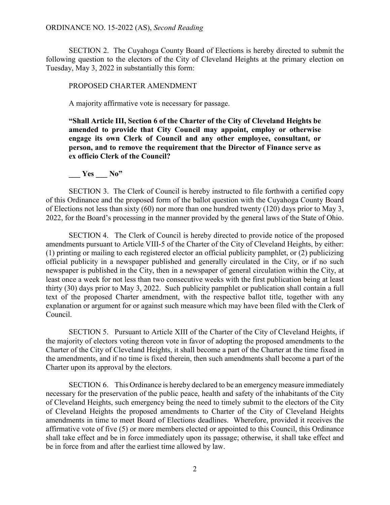SECTION 2. The Cuyahoga County Board of Elections is hereby directed to submit the following question to the electors of the City of Cleveland Heights at the primary election on Tuesday, May 3, 2022 in substantially this form:

#### PROPOSED CHARTER AMENDMENT

A majority affirmative vote is necessary for passage.

**"Shall Article III, Section 6 of the Charter of the City of Cleveland Heights be amended to provide that City Council may appoint, employ or otherwise engage its own Clerk of Council and any other employee, consultant, or person, and to remove the requirement that the Director of Finance serve as ex officio Clerk of the Council?** 

#### Yes No"

SECTION 3. The Clerk of Council is hereby instructed to file forthwith a certified copy of this Ordinance and the proposed form of the ballot question with the Cuyahoga County Board of Elections not less than sixty (60) nor more than one hundred twenty (120) days prior to May 3, 2022, for the Board's processing in the manner provided by the general laws of the State of Ohio.

 SECTION 4. The Clerk of Council is hereby directed to provide notice of the proposed amendments pursuant to Article VIII-5 of the Charter of the City of Cleveland Heights, by either: (1) printing or mailing to each registered elector an official publicity pamphlet, or (2) publicizing official publicity in a newspaper published and generally circulated in the City, or if no such newspaper is published in the City, then in a newspaper of general circulation within the City, at least once a week for not less than two consecutive weeks with the first publication being at least thirty (30) days prior to May 3, 2022. Such publicity pamphlet or publication shall contain a full text of the proposed Charter amendment, with the respective ballot title, together with any explanation or argument for or against such measure which may have been filed with the Clerk of Council.

SECTION 5. Pursuant to Article XIII of the Charter of the City of Cleveland Heights, if the majority of electors voting thereon vote in favor of adopting the proposed amendments to the Charter of the City of Cleveland Heights, it shall become a part of the Charter at the time fixed in the amendments, and if no time is fixed therein, then such amendments shall become a part of the Charter upon its approval by the electors.

SECTION 6. This Ordinance is hereby declared to be an emergency measure immediately necessary for the preservation of the public peace, health and safety of the inhabitants of the City of Cleveland Heights, such emergency being the need to timely submit to the electors of the City of Cleveland Heights the proposed amendments to Charter of the City of Cleveland Heights amendments in time to meet Board of Elections deadlines. Wherefore, provided it receives the affirmative vote of five (5) or more members elected or appointed to this Council, this Ordinance shall take effect and be in force immediately upon its passage; otherwise, it shall take effect and be in force from and after the earliest time allowed by law.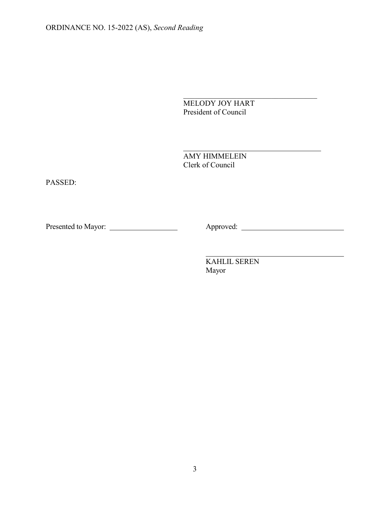MELODY JOY HART President of Council

 $\mathcal{L}_\text{max}$  and  $\mathcal{L}_\text{max}$  and  $\mathcal{L}_\text{max}$  and  $\mathcal{L}_\text{max}$  and  $\mathcal{L}_\text{max}$  and  $\mathcal{L}_\text{max}$ 

 AMY HIMMELEIN Clerk of Council

PASSED:

Presented to Mayor: Approved:

 KAHLIL SEREN Mayor